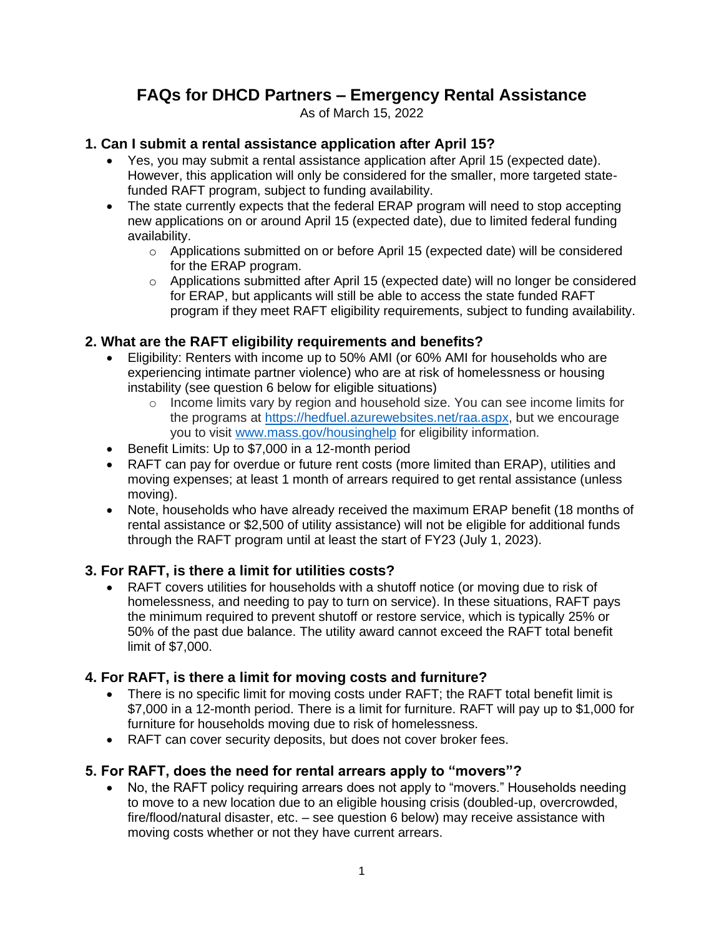# **FAQs for DHCD Partners – Emergency Rental Assistance**

As of March 15, 2022

#### **1. Can I submit a rental assistance application after April 15?**

- Yes, you may submit a rental assistance application after April 15 (expected date). However, this application will only be considered for the smaller, more targeted statefunded RAFT program, subject to funding availability.
- The state currently expects that the federal ERAP program will need to stop accepting new applications on or around April 15 (expected date), due to limited federal funding availability.
	- o Applications submitted on or before April 15 (expected date) will be considered for the ERAP program.
	- o Applications submitted after April 15 (expected date) will no longer be considered for ERAP, but applicants will still be able to access the state funded RAFT program if they meet RAFT eligibility requirements, subject to funding availability.

## **2. What are the RAFT eligibility requirements and benefits?**

- Eligibility: Renters with income up to 50% AMI (or 60% AMI for households who are experiencing intimate partner violence) who are at risk of homelessness or housing instability (see question 6 below for eligible situations)
	- $\circ$  Income limits vary by region and household size. You can see income limits for the programs at [https://hedfuel.azurewebsites.net/raa.aspx,](https://hedfuel.azurewebsites.net/raa.aspx) but we encourage you to visit [www.mass.gov/housinghelp](http://www.mass.gov/housinghelp) for eligibility information.
- Benefit Limits: Up to \$7,000 in a 12-month period
- RAFT can pay for overdue or future rent costs (more limited than ERAP), utilities and moving expenses; at least 1 month of arrears required to get rental assistance (unless moving).
- Note, households who have already received the maximum ERAP benefit (18 months of rental assistance or \$2,500 of utility assistance) will not be eligible for additional funds through the RAFT program until at least the start of FY23 (July 1, 2023).

## **3. For RAFT, is there a limit for utilities costs?**

• RAFT covers utilities for households with a shutoff notice (or moving due to risk of homelessness, and needing to pay to turn on service). In these situations, RAFT pays the minimum required to prevent shutoff or restore service, which is typically 25% or 50% of the past due balance. The utility award cannot exceed the RAFT total benefit limit of \$7,000.

## **4. For RAFT, is there a limit for moving costs and furniture?**

- There is no specific limit for moving costs under RAFT; the RAFT total benefit limit is \$7,000 in a 12-month period. There is a limit for furniture. RAFT will pay up to \$1,000 for furniture for households moving due to risk of homelessness.
- RAFT can cover security deposits, but does not cover broker fees.

## **5. For RAFT, does the need for rental arrears apply to "movers"?**

• No, the RAFT policy requiring arrears does not apply to "movers." Households needing to move to a new location due to an eligible housing crisis (doubled-up, overcrowded, fire/flood/natural disaster, etc. – see question 6 below) may receive assistance with moving costs whether or not they have current arrears.